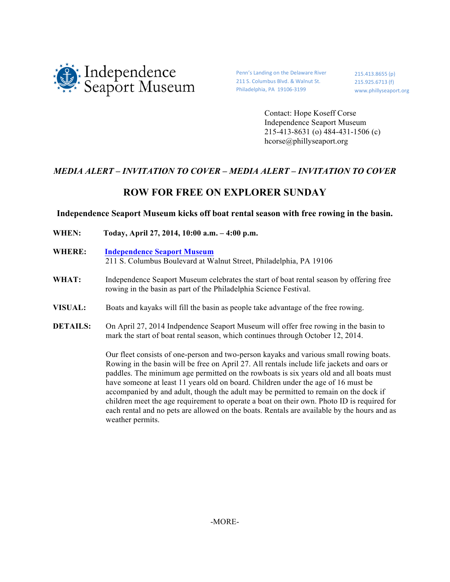

weather permits.

Penn's Landing on the Delaware River 211 S. Columbus Blvd. & Walnut St. Philadelphia, PA 19106-3199

215.413.8655 (p) 215.925.6713 (f) www.phillyseaport.org

Contact: Hope Koseff Corse Independence Seaport Museum 215-413-8631 (o) 484-431-1506 (c) hcorse@phillyseaport.org

## *MEDIA ALERT – INVITATION TO COVER – MEDIA ALERT – INVITATION TO COVER*

# **ROW FOR FREE ON EXPLORER SUNDAY**

## **Independence Seaport Museum kicks off boat rental season with free rowing in the basin.**

**WHEN: Today, April 27, 2014, 10:00 a.m. – 4:00 p.m. WHERE: Independence Seaport Museum** 211 S. Columbus Boulevard at Walnut Street, Philadelphia, PA 19106 WHAT: Independence Seaport Museum celebrates the start of boat rental season by offering free rowing in the basin as part of the Philadelphia Science Festival. **VISUAL:** Boats and kayaks will fill the basin as people take advantage of the free rowing. **DETAILS:** On April 27, 2014 Indpendence Seaport Museum will offer free rowing in the basin to mark the start of boat rental season, which continues through October 12, 2014. Our fleet consists of one-person and two-person kayaks and various small rowing boats. Rowing in the basin will be free on April 27. All rentals include life jackets and oars or paddles. The minimum age permitted on the rowboats is six years old and all boats must have someone at least 11 years old on board. Children under the age of 16 must be accompanied by and adult, though the adult may be permitted to remain on the dock if children meet the age requirement to operate a boat on their own. Photo ID is required for

each rental and no pets are allowed on the boats. Rentals are available by the hours and as